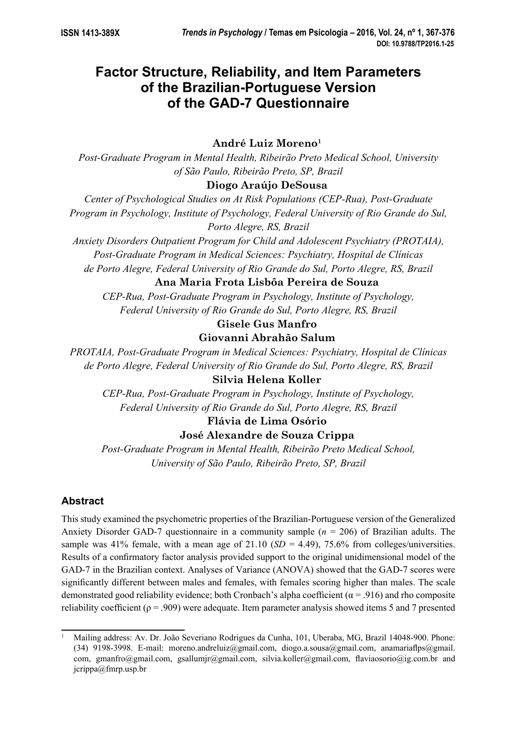# **Factor Structure, Reliability, and Item Parameters of the Brazilian-Portuguese Version of the GAD-7 Questionnaire**

## **André Luiz Moreno1**

*Post-Graduate Program in Mental Health, Ribeirão Preto Medical School, University of São Paulo, Ribeirão Preto, SP, Brazil* 

## **Diogo Araújo DeSousa**

*Center of Psychological Studies on At Risk Populations (CEP-Rua), Post-Graduate Program in Psychology, Institute of Psychology, Federal University of Rio Grande do Sul, Porto Alegre, RS, Brazil* 

*Anxiety Disorders Outpatient Program for Child and Adolescent Psychiatry (PROTAIA), Post-Graduate Program in Medical Sciences: Psychiatry, Hospital de Clínicas de Porto Alegre, Federal University of Rio Grande do Sul, Porto Alegre, RS, Brazil* 

## **Ana Maria Frota Lisbôa Pereira de Souza**

*CEP-Rua, Post-Graduate Program in Psychology, Institute of Psychology, Federal University of Rio Grande do Sul, Porto Alegre, RS, Brazil* 

### **Gisele Gus Manfro**

## **Giovanni Abrahão Salum**

*PROTAIA, Post-Graduate Program in Medical Sciences: Psychiatry, Hospital de Clínicas de Porto Alegre, Federal University of Rio Grande do Sul, Porto Alegre, RS, Brazil* 

## **Silvia Helena Koller**

*CEP-Rua, Post-Graduate Program in Psychology, Institute of Psychology, Federal University of Rio Grande do Sul, Porto Alegre, RS, Brazil* 

## **Flávia de LimaOsório**

## **José Alexandre de Souza Crippa**

*Post-Graduate Program in Mental Health, Ribeirão Preto Medical School, University of São Paulo, Ribeirão Preto, SP, Brazil* 

## **Abstract**

This study examined the psychometric properties of the Brazilian-Portuguese version of the Generalized Anxiety Disorder GAD-7 questionnaire in a community sample (*n* = 206) of Brazilian adults. The sample was 41% female, with a mean age of 21.10 ( $SD = 4.49$ ), 75.6% from colleges/universities. Results of a confirmatory factor analysis provided support to the original unidimensional model of the GAD-7 in the Brazilian context. Analyses of Variance (ANOVA) showed that the GAD-7 scores were significantly different between males and females, with females scoring higher than males. The scale demonstrated good reliability evidence; both Cronbach's alpha coefficient ( $\alpha$  = .916) and rho composite reliability coefficient ( $\rho = .909$ ) were adequate. Item parameter analysis showed items 5 and 7 presented

<sup>1</sup> Mailing address: Av. Dr. João Severiano Rodrigues da Cunha, 101, Uberaba, MG, Brazil 14048-900. Phone: (34) 9198-3998. E-mail: moreno.andreluiz@gmail.com, diogo.a.sousa@gmail.com, anamariaflps@gmail. com, gmanfro@gmail.com, gsallumjr@gmail.com, silvia.koller@gmail.com, flaviaosorio@ig.com.br and jcrippa@fmrp.usp.br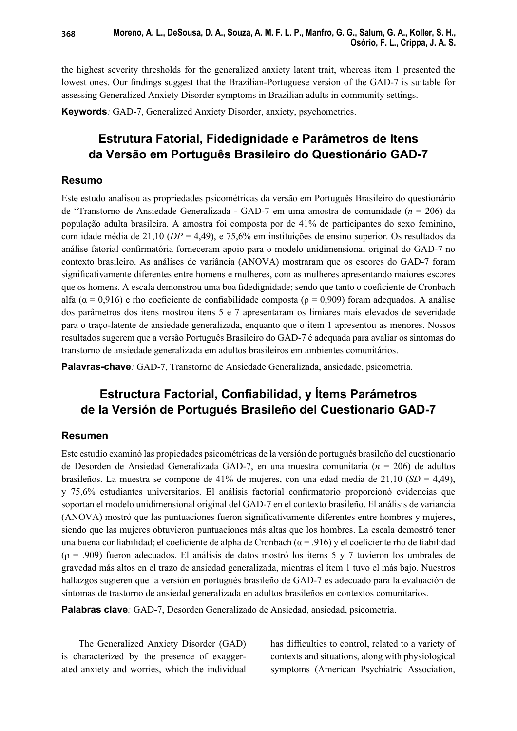the highest severity thresholds for the generalized anxiety latent trait, whereas item 1 presented the lowest ones. Our findings suggest that the Brazilian-Portuguese version of the GAD-7 is suitable for assessing Generalized Anxiety Disorder symptoms in Brazilian adults in community settings.

**Keywords***:* GAD-7, Generalized Anxiety Disorder, anxiety, psychometrics.

## **Estrutura Fatorial, Fidedignidade e Parâmetros de Itens da Versão em Português Brasileiro do Questionário GAD-7**

### **Resumo**

Este estudo analisou as propriedades psicométricas da versão em Português Brasileiro do questionário de "Transtorno de Ansiedade Generalizada - GAD-7 em uma amostra de comunidade (*n* = 206) da população adulta brasileira. A amostra foi composta por de 41% de participantes do sexo feminino, com idade média de 21,10 (*DP* = 4,49), e 75,6% em instituições de ensino superior. Os resultados da análise fatorial confirmatória forneceram apoio para o modelo unidimensional original do GAD-7 no contexto brasileiro. As análises de variância (ANOVA) mostraram que os escores do GAD-7 foram significativamente diferentes entre homens e mulheres, com as mulheres apresentando maiores escores que os homens. A escala demonstrou uma boa fidedignidade; sendo que tanto o coeficiente de Cronbach alfa ( $\alpha$  = 0,916) e rho coeficiente de confiabilidade composta ( $\rho$  = 0,909) foram adequados. A análise dos parâmetros dos itens mostrou itens 5 e 7 apresentaram os limiares mais elevados de severidade para o traço-latente de ansiedade generalizada, enquanto que o item 1 apresentou as menores. Nossos resultados sugerem que a versão Português Brasileiro do GAD-7 é adequada para avaliar os sintomas do transtorno de ansiedade generalizada em adultos brasileiros em ambientes comunitários.

**Palavras-chave***:* GAD-7, Transtorno de Ansiedade Generalizada, ansiedade, psicometria.

## **Estructura Factorial, Confiabilidad, y Ítems Parámetros de la Versión de Portugués Brasileño del Cuestionario GAD-7**

## **Resumen**

Este estudio examinó las propiedades psicométricas de la versión de portugués brasileño del cuestionario de Desorden de Ansiedad Generalizada GAD-7, en una muestra comunitaria (*n* = 206) de adultos brasileños. La muestra se compone de 41% de mujeres, con una edad media de 21,10 (*SD* = 4,49), y 75,6% estudiantes universitarios. El análisis factorial confirmatorio proporcionó evidencias que soportan el modelo unidimensional original del GAD-7 en el contexto brasileño. El análisis de variancia (ANOVA) mostró que las puntuaciones fueron significativamente diferentes entre hombres y mujeres, siendo que las mujeres obtuvieron puntuaciones más altas que los hombres. La escala demostró tener una buena confiabilidad; el coeficiente de alpha de Cronbach ( $\alpha$  = .916) y el coeficiente rho de fiabilidad  $(p = .909)$  fueron adecuados. El análisis de datos mostró los ítems 5 y 7 tuvieron los umbrales de gravedad más altos en el trazo de ansiedad generalizada, mientras el ítem 1 tuvo el más bajo. Nuestros hallazgos sugieren que la versión en portugués brasileño de GAD-7 es adecuado para la evaluación de síntomas de trastorno de ansiedad generalizada en adultos brasileños en contextos comunitarios.

**Palabras clave***:* GAD-7, Desorden Generalizado de Ansiedad, ansiedad, psicometría.

The Generalized Anxiety Disorder (GAD) is characterized by the presence of exaggerated anxiety and worries, which the individual has difficulties to control, related to a variety of contexts and situations, along with physiological symptoms (American Psychiatric Association,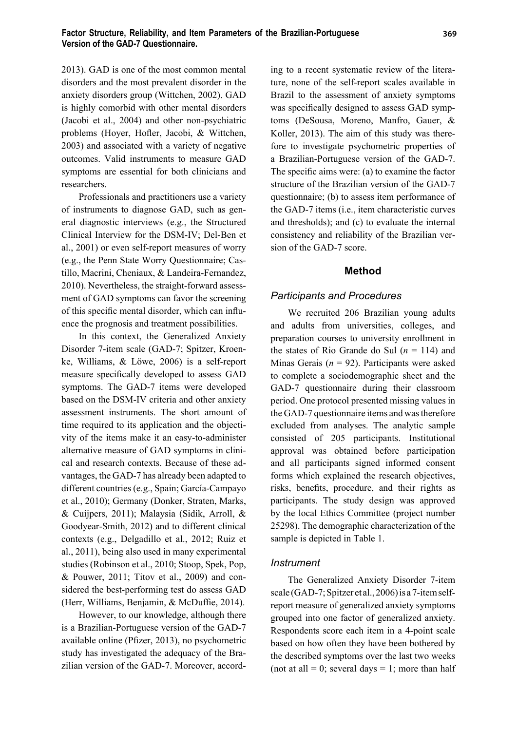2013). GAD is one of the most common mental disorders and the most prevalent disorder in the anxiety disorders group (Wittchen, 2002). GAD is highly comorbid with other mental disorders (Jacobi et al., 2004) and other non-psychiatric problems (Hoyer, Hofler, Jacobi, & Wittchen, 2003) and associated with a variety of negative outcomes. Valid instruments to measure GAD symptoms are essential for both clinicians and researchers.

Professionals and practitioners use a variety of instruments to diagnose GAD, such as general diagnostic interviews (e.g., the Structured Clinical Interview for the DSM-IV; Del-Ben et al., 2001) or even self-report measures of worry (e.g., the Penn State Worry Questionnaire; Castillo, Macrini, Cheniaux, & Landeira-Fernandez, 2010). Nevertheless, the straight-forward assessment of GAD symptoms can favor the screening of this specific mental disorder, which can influence the prognosis and treatment possibilities.

In this context, the Generalized Anxiety Disorder 7-item scale (GAD-7; Spitzer, Kroenke, Williams, & Löwe, 2006) is a self-report measure specifically developed to assess GAD symptoms. The GAD-7 items were developed based on the DSM-IV criteria and other anxiety assessment instruments. The short amount of time required to its application and the objectivity of the items make it an easy-to-administer alternative measure of GAD symptoms in clinical and research contexts. Because of these advantages, the GAD-7 has already been adapted to different countries (e.g., Spain; García-Campayo et al., 2010); Germany (Donker, Straten, Marks, & Cuijpers, 2011); Malaysia (Sidik, Arroll, & Goodyear-Smith, 2012) and to different clinical contexts (e.g., Delgadillo et al., 2012; Ruiz et al., 2011), being also used in many experimental studies (Robinson et al., 2010; Stoop, Spek, Pop, & Pouwer, 2011; Titov et al., 2009) and considered the best-performing test do assess GAD (Herr, Williams, Benjamin, & McDuffie, 2014).

However, to our knowledge, although there is a Brazilian-Portuguese version of the GAD-7 available online (Pfizer, 2013), no psychometric study has investigated the adequacy of the Brazilian version of the GAD-7. Moreover, according to a recent systematic review of the literature, none of the self-report scales available in Brazil to the assessment of anxiety symptoms was specifically designed to assess GAD symptoms (DeSousa, Moreno, Manfro, Gauer, & Koller, 2013). The aim of this study was therefore to investigate psychometric properties of a Brazilian-Portuguese version of the GAD-7. The specific aims were:  $(a)$  to examine the factor structure of the Brazilian version of the GAD-7 questionnaire; (b) to assess item performance of the GAD-7 items (i.e., item characteristic curves and thresholds); and (c) to evaluate the internal consistency and reliability of the Brazilian version of the GAD-7 score.

### **Method**

### *Participants and Procedures*

We recruited 206 Brazilian young adults and adults from universities, colleges, and preparation courses to university enrollment in the states of Rio Grande do Sul  $(n = 114)$  and Minas Gerais (*n* = 92). Participants were asked to complete a sociodemographic sheet and the GAD-7 questionnaire during their classroom period. One protocol presented missing values in the GAD-7 questionnaire items and was therefore excluded from analyses. The analytic sample consisted of 205 participants. Institutional approval was obtained before participation and all participants signed informed consent forms which explained the research objectives, risks, benefits, procedure, and their rights as participants. The study design was approved by the local Ethics Committee (project number 25298). The demographic characterization of the sample is depicted in Table 1.

#### *Instrument*

The Generalized Anxiety Disorder 7-item scale (GAD-7; Spitzer et al., 2006) is a 7-item selfreport measure of generalized anxiety symptoms grouped into one factor of generalized anxiety. Respondents score each item in a 4-point scale based on how often they have been bothered by the described symptoms over the last two weeks (not at all  $= 0$ ; several days  $= 1$ ; more than half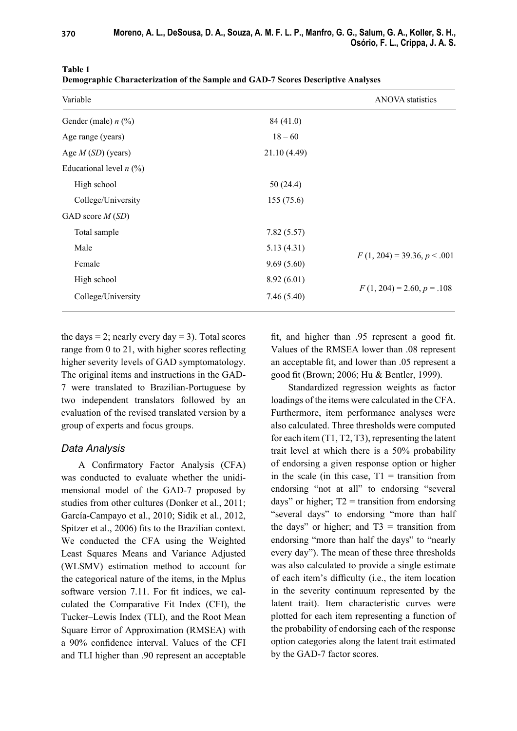| Variable                  |              | <b>ANOVA</b> statistics       |  |
|---------------------------|--------------|-------------------------------|--|
| Gender (male) $n$ (%)     | 84 (41.0)    |                               |  |
| Age range (years)         | $18 - 60$    |                               |  |
| Age $M(SD)$ (years)       | 21.10 (4.49) |                               |  |
| Educational level $n$ (%) |              |                               |  |
| High school               | 50(24.4)     |                               |  |
| College/University        | 155(75.6)    |                               |  |
| GAD score $M(SD)$         |              |                               |  |
| Total sample              | 7.82(5.57)   |                               |  |
| Male                      | 5.13(4.31)   |                               |  |
| Female                    | 9.69(5.60)   | $F(1, 204) = 39.36, p < .001$ |  |
| High school               | 8.92(6.01)   |                               |  |
| College/University        | 7.46(5.40)   | $F(1, 204) = 2.60, p = .108$  |  |

**Table 1**

**Demographic Characterization of the Sample and GAD-7 Scores Descriptive Analyses**

the days  $= 2$ ; nearly every day  $= 3$ ). Total scores range from  $0$  to  $21$ , with higher scores reflecting higher severity levels of GAD symptomatology. The original items and instructions in the GAD-7 were translated to Brazilian-Portuguese by two independent translators followed by an evaluation of the revised translated version by a group of experts and focus groups.

## *Data Analysis*

A Confirmatory Factor Analysis (CFA) was conducted to evaluate whether the unidimensional model of the GAD-7 proposed by studies from other cultures (Donker et al., 2011; García-Campayo et al., 2010; Sidik et al., 2012, Spitzer et al., 2006) fits to the Brazilian context. We conducted the CFA using the Weighted Least Squares Means and Variance Adjusted (WLSMV) estimation method to account for the categorical nature of the items, in the Mplus software version 7.11. For fit indices, we calculated the Comparative Fit Index (CFI), the Tucker–Lewis Index (TLI), and the Root Mean Square Error of Approximation (RMSEA) with a 90% confidence interval. Values of the CFI and TLI higher than .90 represent an acceptable fit, and higher than  $.95$  represent a good fit. Values of the RMSEA lower than .08 represent an acceptable fit, and lower than .05 represent a good fit (Brown; 2006; Hu & Bentler, 1999).

Standardized regression weights as factor loadings of the items were calculated in the CFA. Furthermore, item performance analyses were also calculated. Three thresholds were computed for each item (T1, T2, T3), representing the latent trait level at which there is a 50% probability of endorsing a given response option or higher in the scale (in this case,  $T1 =$  transition from endorsing "not at all" to endorsing "several days" or higher;  $T2 =$  transition from endorsing "several days" to endorsing "more than half the days" or higher; and  $T3 =$  transition from endorsing "more than half the days" to "nearly every day"). The mean of these three thresholds was also calculated to provide a single estimate of each item's difficulty (i.e., the item location in the severity continuum represented by the latent trait). Item characteristic curves were plotted for each item representing a function of the probability of endorsing each of the response option categories along the latent trait estimated by the GAD-7 factor scores.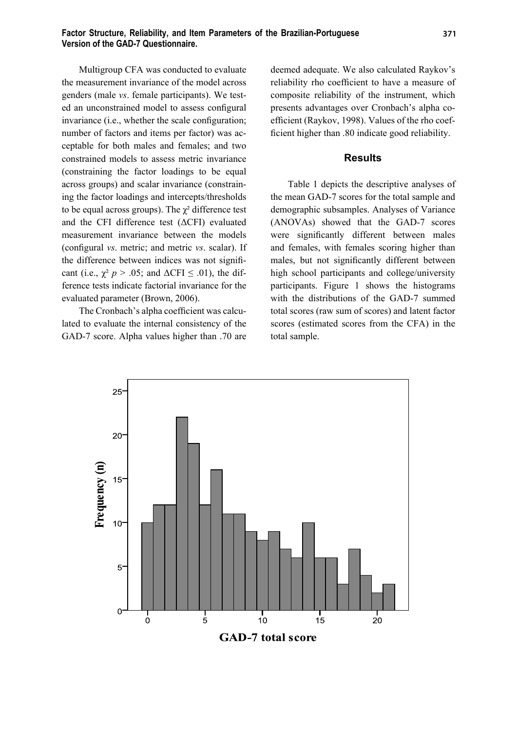Multigroup CFA was conducted to evaluate the measurement invariance of the model across genders (male *vs*. female participants). We tested an unconstrained model to assess configural invariance (i.e., whether the scale configuration; number of factors and items per factor) was acceptable for both males and females; and two constrained models to assess metric invariance (constraining the factor loadings to be equal across groups) and scalar invariance (constraining the factor loadings and intercepts/thresholds to be equal across groups). The  $\gamma^2$  difference test and the CFI difference test (ΔCFI) evaluated measurement invariance between the models (configural *vs.* metric; and metric *vs.* scalar). If the difference between indices was not significant (i.e.,  $\chi^2$  *p* > .05; and  $\Delta$ CFI  $\leq$  .01), the difference tests indicate factorial invariance for the evaluated parameter (Brown, 2006).

The Cronbach's alpha coefficient was calculated to evaluate the internal consistency of the GAD-7 score. Alpha values higher than .70 are deemed adequate. We also calculated Raykov's reliability rho coefficient to have a measure of composite reliability of the instrument, which presents advantages over Cronbach's alpha coefficient (Raykov, 1998). Values of the rho coefficient higher than .80 indicate good reliability.

### **Results**

Table 1 depicts the descriptive analyses of the mean GAD-7 scores for the total sample and demographic subsamples. Analyses of Variance (ANOVAs) showed that the GAD-7 scores were significantly different between males and females, with females scoring higher than males, but not significantly different between high school participants and college/university participants. Figure 1 shows the histograms with the distributions of the GAD-7 summed total scores (raw sum of scores) and latent factor scores (estimated scores from the CFA) in the total sample.

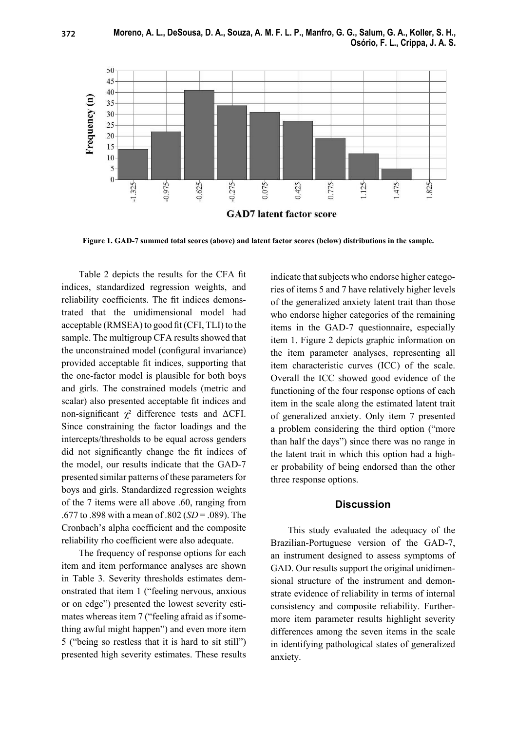

**Figure 1. GAD-7 summed total scores (above) and latent factor scores (below) distributions in the sample.**

Table 2 depicts the results for the CFA fit indices, standardized regression weights, and reliability coefficients. The fit indices demonstrated that the unidimensional model had acceptable  $(RMSEA)$  to good fit  $(CFI, TLI)$  to the sample. The multigroup CFA results showed that the unconstrained model (configural invariance) provided acceptable fit indices, supporting that the one-factor model is plausible for both boys and girls. The constrained models (metric and scalar) also presented acceptable fit indices and non-significant  $\chi^2$  difference tests and ΔCFI. Since constraining the factor loadings and the intercepts/thresholds to be equal across genders did not significantly change the fit indices of the model, our results indicate that the GAD-7 presented similar patterns of these parameters for boys and girls. Standardized regression weights of the 7 items were all above .60, ranging from .677 to .898 with a mean of .802 (*SD* = .089). The Cronbach's alpha coefficient and the composite reliability rho coefficient were also adequate.

The frequency of response options for each item and item performance analyses are shown in Table 3. Severity thresholds estimates demonstrated that item 1 ("feeling nervous, anxious or on edge") presented the lowest severity estimates whereas item 7 ("feeling afraid as if something awful might happen") and even more item 5 ("being so restless that it is hard to sit still") presented high severity estimates. These results indicate that subjects who endorse higher categories of items 5 and 7 have relatively higher levels of the generalized anxiety latent trait than those who endorse higher categories of the remaining items in the GAD-7 questionnaire, especially item 1. Figure 2 depicts graphic information on the item parameter analyses, representing all item characteristic curves (ICC) of the scale. Overall the ICC showed good evidence of the functioning of the four response options of each item in the scale along the estimated latent trait of generalized anxiety. Only item 7 presented a problem considering the third option ("more than half the days") since there was no range in the latent trait in which this option had a higher probability of being endorsed than the other three response options.

### **Discussion**

This study evaluated the adequacy of the Brazilian-Portuguese version of the GAD-7, an instrument designed to assess symptoms of GAD. Our results support the original unidimensional structure of the instrument and demonstrate evidence of reliability in terms of internal consistency and composite reliability. Furthermore item parameter results highlight severity differences among the seven items in the scale in identifying pathological states of generalized anxiety.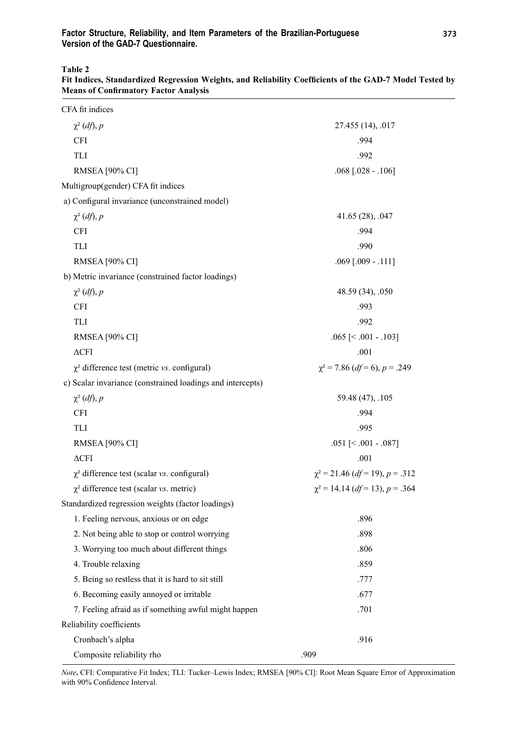**Table 2**

| CFA fit indices                                            |                                      |  |  |  |  |
|------------------------------------------------------------|--------------------------------------|--|--|--|--|
| $\chi^2$ (df), p                                           | 27.455 (14), .017                    |  |  |  |  |
| <b>CFI</b>                                                 | .994                                 |  |  |  |  |
| TLI                                                        | .992                                 |  |  |  |  |
| <b>RMSEA</b> [90% CI]                                      | $.068$ [.028 - .106]                 |  |  |  |  |
| Multigroup(gender) CFA fit indices                         |                                      |  |  |  |  |
| a) Configural invariance (unconstrained model)             |                                      |  |  |  |  |
| $\chi^2$ (df), p                                           | 41.65 (28), .047                     |  |  |  |  |
| <b>CFI</b>                                                 | .994                                 |  |  |  |  |
| TLI                                                        | .990                                 |  |  |  |  |
| <b>RMSEA</b> [90% CI]                                      | $.069$ $[.009 - .111]$               |  |  |  |  |
| b) Metric invariance (constrained factor loadings)         |                                      |  |  |  |  |
| $\chi^2$ (df), p                                           | 48.59 (34), .050                     |  |  |  |  |
| <b>CFI</b>                                                 | .993                                 |  |  |  |  |
| TLI                                                        | .992                                 |  |  |  |  |
| RMSEA [90% CI]                                             | $.065$ [ $< .001 - .103$ ]           |  |  |  |  |
| $\Delta\text{CFI}$                                         | .001                                 |  |  |  |  |
| $\chi^2$ difference test (metric vs. configural)           | $\chi^2$ = 7.86 (df = 6), p = .249   |  |  |  |  |
| c) Scalar invariance (constrained loadings and intercepts) |                                      |  |  |  |  |
| $\chi^2$ (df), p                                           | 59.48 (47), .105                     |  |  |  |  |
| <b>CFI</b>                                                 | .994                                 |  |  |  |  |
| TLI                                                        | .995                                 |  |  |  |  |
| <b>RMSEA</b> [90% CI]                                      | $.051$ [ $< .001 - .087$ ]           |  |  |  |  |
| $\Delta\text{CFI}$                                         | .001                                 |  |  |  |  |
| $\chi^2$ difference test (scalar vs. configural)           | $\chi^2$ = 21.46 (df = 19), p = .312 |  |  |  |  |
| $\chi^2$ difference test (scalar vs. metric)               | $\chi^2$ = 14.14 (df = 13), p = .364 |  |  |  |  |
| Standardized regression weights (factor loadings)          |                                      |  |  |  |  |
| 1. Feeling nervous, anxious or on edge                     | .896                                 |  |  |  |  |
| 2. Not being able to stop or control worrying              | .898                                 |  |  |  |  |
| 3. Worrying too much about different things                | .806                                 |  |  |  |  |
| 4. Trouble relaxing                                        | .859                                 |  |  |  |  |
| 5. Being so restless that it is hard to sit still          | .777                                 |  |  |  |  |
| 6. Becoming easily annoyed or irritable                    | .677                                 |  |  |  |  |
| 7. Feeling afraid as if something awful might happen       | .701                                 |  |  |  |  |
| Reliability coefficients                                   |                                      |  |  |  |  |
| Cronbach's alpha                                           | .916                                 |  |  |  |  |
| Composite reliability rho                                  | .909                                 |  |  |  |  |

Fit Indices, Standardized Regression Weights, and Reliability Coefficients of the GAD-7 Model Tested by **Means of Confirmatory Factor Analysis** 

*Note***.** CFI: Comparative Fit Index; TLI: Tucker–Lewis Index; RMSEA [90% CI]: Root Mean Square Error of Approximation with 90% Confidence Interval.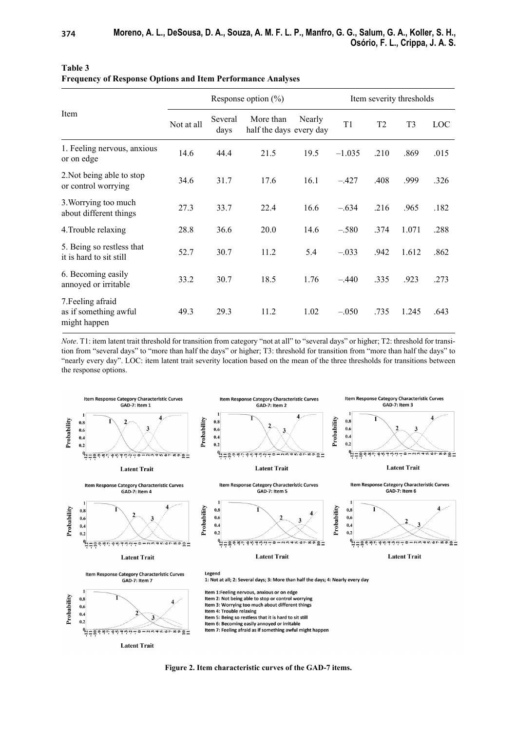| Item                                                       | Response option $(\% )$ |                 |                                      | Item severity thresholds |                |                |                |      |
|------------------------------------------------------------|-------------------------|-----------------|--------------------------------------|--------------------------|----------------|----------------|----------------|------|
|                                                            | Not at all              | Several<br>days | More than<br>half the days every day | Nearly                   | T <sub>1</sub> | T <sub>2</sub> | T <sub>3</sub> | LOC  |
| 1. Feeling nervous, anxious<br>or on edge                  | 14.6                    | 44.4            | 21.5                                 | 19.5                     | $-1.035$       | .210           | .869           | .015 |
| 2. Not being able to stop<br>or control worrying           | 34.6                    | 31.7            | 17.6                                 | 16.1                     | $-.427$        | .408           | .999           | .326 |
| 3. Worrying too much<br>about different things             | 27.3                    | 33.7            | 22.4                                 | 16.6                     | $-.634$        | .216           | .965           | .182 |
| 4. Trouble relaxing                                        | 28.8                    | 36.6            | 20.0                                 | 14.6                     | $-.580$        | .374           | 1.071          | .288 |
| 5. Being so restless that<br>it is hard to sit still       | 52.7                    | 30.7            | 11.2                                 | 5.4                      | $-.033$        | .942           | 1.612          | .862 |
| 6. Becoming easily<br>annoyed or irritable                 | 33.2                    | 30.7            | 18.5                                 | 1.76                     | $-.440$        | .335           | .923           | .273 |
| 7. Feeling afraid<br>as if something awful<br>might happen | 49.3                    | 29.3            | 11.2                                 | 1.02                     | $-.050$        | .735           | 1.245          | .643 |

| Table 3                                                            |  |
|--------------------------------------------------------------------|--|
| <b>Frequency of Response Options and Item Performance Analyses</b> |  |

*Note*. T1: item latent trait threshold for transition from category "not at all" to "several days" or higher; T2: threshold for transition from "several days" to "more than half the days" or higher; T3: threshold for transition from "more than half the days" to "nearly every day". LOC: item latent trait severity location based on the mean of the three thresholds for transitions between the response options.



**Figure 2. Item characteristic curves of the GAD-7 items.**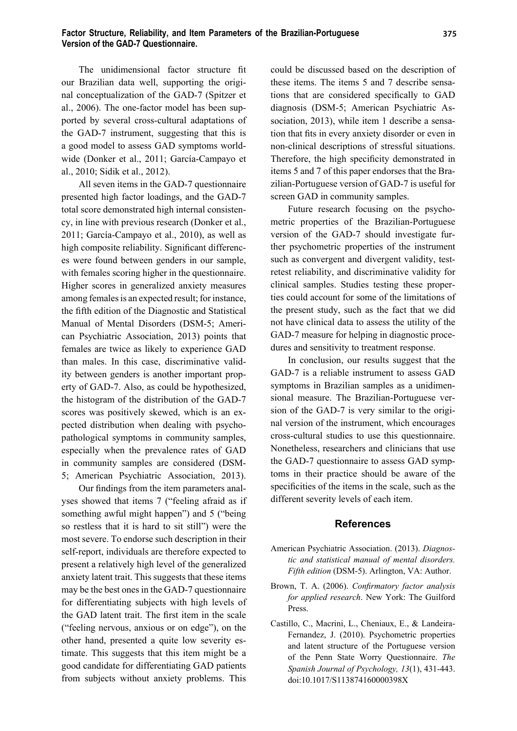### **Factor Structure, Reliability, and Item Parameters of the Brazilian-Portuguese Version of the GAD-7 Questionnaire.**

The unidimensional factor structure fit our Brazilian data well, supporting the original conceptualization of the GAD-7 (Spitzer et al., 2006). The one-factor model has been supported by several cross-cultural adaptations of the GAD-7 instrument, suggesting that this is a good model to assess GAD symptoms worldwide (Donker et al., 2011; García-Campayo et al., 2010; Sidik et al., 2012).

All seven items in the GAD-7 questionnaire presented high factor loadings, and the GAD-7 total score demonstrated high internal consistency, in line with previous research (Donker et al., 2011; García-Campayo et al., 2010), as well as high composite reliability. Significant differences were found between genders in our sample, with females scoring higher in the questionnaire. Higher scores in generalized anxiety measures among females is an expected result; for instance, the fifth edition of the Diagnostic and Statistical Manual of Mental Disorders (DSM-5; American Psychiatric Association, 2013) points that females are twice as likely to experience GAD than males. In this case, discriminative validity between genders is another important property of GAD-7. Also, as could be hypothesized, the histogram of the distribution of the GAD-7 scores was positively skewed, which is an expected distribution when dealing with psychopathological symptoms in community samples, especially when the prevalence rates of GAD in community samples are considered (DSM-5; American Psychiatric Association, 2013).

Our findings from the item parameters analyses showed that items 7 ("feeling afraid as if something awful might happen") and 5 ("being so restless that it is hard to sit still") were the most severe. To endorse such description in their self-report, individuals are therefore expected to present a relatively high level of the generalized anxiety latent trait. This suggests that these items may be the best ones in the GAD-7 questionnaire for differentiating subjects with high levels of the GAD latent trait. The first item in the scale ("feeling nervous, anxious or on edge"), on the other hand, presented a quite low severity estimate. This suggests that this item might be a good candidate for differentiating GAD patients from subjects without anxiety problems. This

could be discussed based on the description of these items. The items 5 and 7 describe sensations that are considered specifically to GAD diagnosis (DSM-5; American Psychiatric Association, 2013), while item 1 describe a sensation that fits in every anxiety disorder or even in non-clinical descriptions of stressful situations. Therefore, the high specificity demonstrated in items 5 and 7 of this paper endorses that the Brazilian-Portuguese version of GAD-7 is useful for screen GAD in community samples.

Future research focusing on the psychometric properties of the Brazilian-Portuguese version of the GAD-7 should investigate further psychometric properties of the instrument such as convergent and divergent validity, testretest reliability, and discriminative validity for clinical samples. Studies testing these properties could account for some of the limitations of the present study, such as the fact that we did not have clinical data to assess the utility of the GAD-7 measure for helping in diagnostic procedures and sensitivity to treatment response.

In conclusion, our results suggest that the GAD-7 is a reliable instrument to assess GAD symptoms in Brazilian samples as a unidimensional measure. The Brazilian-Portuguese version of the GAD-7 is very similar to the original version of the instrument, which encourages cross-cultural studies to use this questionnaire. Nonetheless, researchers and clinicians that use the GAD-7 questionnaire to assess GAD symptoms in their practice should be aware of the specificities of the items in the scale, such as the different severity levels of each item.

#### **References**

- American Psychiatric Association. (2013). *Diagnostic and statistical manual of mental disorders. Fifth edition* (DSM-5). Arlington, VA: Author.
- Brown, T. A. (2006). *Confirmatory factor analysis for applied research*. New York: The Guilford Press.
- Castillo, C., Macrini, L., Cheniaux, E., & Landeira-Fernandez, J. (2010). Psychometric properties and latent structure of the Portuguese version of the Penn State Worry Questionnaire. *The Spanish Journal of Psychology, 13*(1), 431-443. doi:10.1017/S113874160000398X